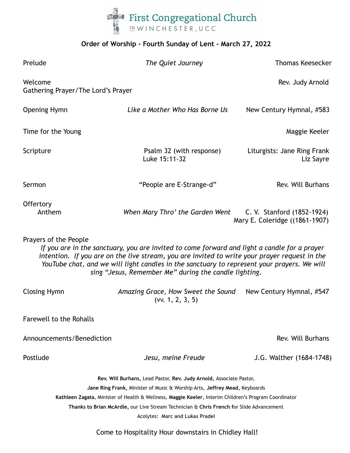

## **Order of Worship - Fourth Sunday of Lent - March 27, 2022**

| Prelude                                       | The Quiet Journey                                                                                                                                                                                                                                                                                                                                                                         | <b>Thomas Keesecker</b>                                      |
|-----------------------------------------------|-------------------------------------------------------------------------------------------------------------------------------------------------------------------------------------------------------------------------------------------------------------------------------------------------------------------------------------------------------------------------------------------|--------------------------------------------------------------|
| Welcome<br>Gathering Prayer/The Lord's Prayer |                                                                                                                                                                                                                                                                                                                                                                                           | Rev. Judy Arnold                                             |
| <b>Opening Hymn</b>                           | Like a Mother Who Has Borne Us                                                                                                                                                                                                                                                                                                                                                            | New Century Hymnal, #583                                     |
| Time for the Young                            |                                                                                                                                                                                                                                                                                                                                                                                           | Maggie Keeler                                                |
| Scripture                                     | Psalm 32 (with response)<br>Luke 15:11-32                                                                                                                                                                                                                                                                                                                                                 | Liturgists: Jane Ring Frank<br>Liz Sayre                     |
| Sermon                                        | "People are E-Strange-d"                                                                                                                                                                                                                                                                                                                                                                  | Rev. Will Burhans                                            |
| Offertory<br>Anthem                           | When Mary Thro' the Garden Went                                                                                                                                                                                                                                                                                                                                                           | C. V. Stanford (1852-1924)<br>Mary E. Coleridge ((1861-1907) |
| Prayers of the People                         | If you are in the sanctuary, you are invited to come forward and light a candle for a prayer<br>intention. If you are on the live stream, you are invited to write your prayer request in the<br>YouTube chat, and we will light candles in the sanctuary to represent your prayers. We will<br>sing "Jesus, Remember Me" during the candle lighting.                                     |                                                              |
| <b>Closing Hymn</b>                           | Amazing Grace, How Sweet the Sound<br>(vv. 1, 2, 3, 5)                                                                                                                                                                                                                                                                                                                                    | New Century Hymnal, #547                                     |
| Farewell to the Rohalls                       |                                                                                                                                                                                                                                                                                                                                                                                           |                                                              |
| Announcements/Benediction                     |                                                                                                                                                                                                                                                                                                                                                                                           | Rev. Will Burhans                                            |
| Postlude                                      | Jesu, meine Freude                                                                                                                                                                                                                                                                                                                                                                        | J.G. Walther (1684-1748)                                     |
|                                               | Rev. Will Burhans, Lead Pastor, Rev. Judy Arnold, Associate Pastor,<br>Jane Ring Frank, Minister of Music & Worship Arts, Jeffrey Mead, Keyboards<br>Kathleen Zagata, Minister of Health & Wellness, Maggie Keeler, Interim Children's Program Coordinator<br>Thanks to Brian McArdle, our Live Stream Technician & Chris French for Slide Advancement<br>Acolytes: Marc and Lukas Pradel |                                                              |

Come to Hospitality Hour downstairs in Chidley Hall!